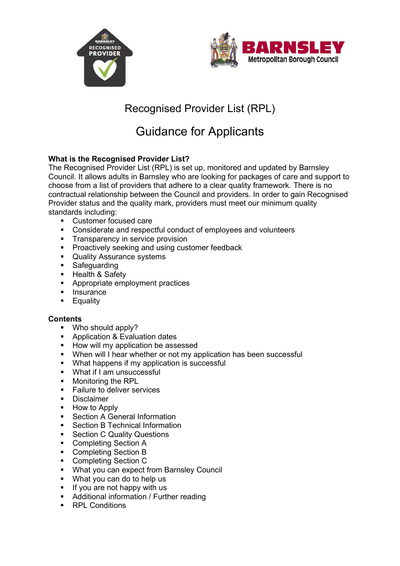



# Recognised Provider List (RPL)

# Guidance for Applicants

# **What is the Recognised Provider List?**

The Recognised Provider List (RPL) is set up, monitored and updated by Barnsley Council. It allows adults in Barnsley who are looking for packages of care and support to choose from a list of providers that adhere to a clear quality framework. There is no contractual relationship between the Council and providers. In order to gain Recognised Provider status and the quality mark, providers must meet our minimum quality standards including:

- Customer focused care<br>■ Considerate and respect
- Considerate and respectful conduct of employees and volunteers
- **Transparency in service provision**
- **Proactively seeking and using customer feedback**
- **Quality Assurance systems**
- **EXECUS** Safeguarding
- Health & Safety<br>■ Appropriate emr
- Appropriate employment practices
- **Insurance**
- **Equality**

#### **Contents**

- **Who should apply?**
- **Application & Evaluation dates**
- How will my application be assessed
- **When will I hear whether or not my application has been successful**
- What happens if my application is successful
- What if I am unsuccessful
- **Monitoring the RPL**
- **Failure to deliver services**
- **Disclaimer**
- **-** How to Apply
- Section A General Information
- Section B Technical Information
- **Section C Quality Questions**
- Completing Section A
- Completing Section B
- **Completing Section C**
- What you can expect from Barnsley Council
- What you can do to help us
- $\blacksquare$  If you are not happy with us
- **Additional information / Further reading**
- **RPL Conditions**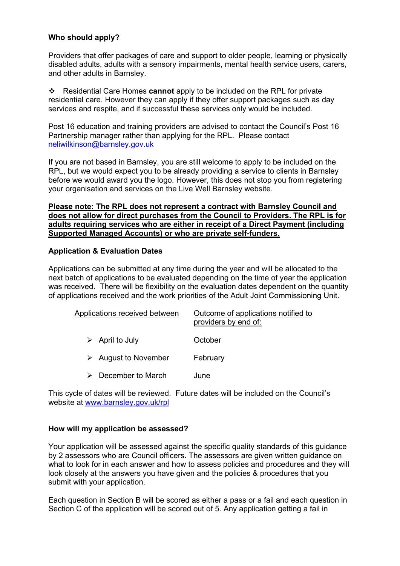# **Who should apply?**

Providers that offer packages of care and support to older people, learning or physically disabled adults, adults with a sensory impairments, mental health service users, carers, and other adults in Barnsley.

 Residential Care Homes **cannot** apply to be included on the RPL for private residential care. However they can apply if they offer support packages such as day services and respite, and if successful these services only would be included.

Post 16 education and training providers are advised to contact the Council's Post 16 Partnership manager rather than applying for the RPL. Please contact [neliwilkinson@barnsley.gov.uk](mailto:neliwilkinson@barnsley.gov.uk) 

If you are not based in Barnsley, you are still welcome to apply to be included on the RPL, but we would expect you to be already providing a service to clients in Barnsley before we would award you the logo. However, this does not stop you from registering your organisation and services on the Live Well Barnsley website.

#### **Please note: The RPL does not represent a contract with Barnsley Council and does not allow for direct purchases from the Council to Providers. The RPL is for adults requiring services who are either in receipt of a Direct Payment (including Supported Managed Accounts) or who are private self-funders.**

## **Application & Evaluation Dates**

Applications can be submitted at any time during the year and will be allocated to the next batch of applications to be evaluated depending on the time of year the application was received. There will be flexibility on the evaluation dates dependent on the quantity of applications received and the work priorities of the Adult Joint Commissioning Unit.

| Applications received between       | Outcome of applications notified to<br>providers by end of: |
|-------------------------------------|-------------------------------------------------------------|
| $\triangleright$ April to July      | October                                                     |
| $\triangleright$ August to November | February                                                    |
| December to March                   | June                                                        |

This cycle of dates will be reviewed. Future dates will be included on the Council's website at<www.barnsley.gov.uk/rpl>

#### **How will my application be assessed?**

Your application will be assessed against the specific quality standards of this guidance by 2 assessors who are Council officers. The assessors are given written guidance on what to look for in each answer and how to assess policies and procedures and they will look closely at the answers you have given and the policies & procedures that you submit with your application.

Each question in Section B will be scored as either a pass or a fail and each question in Section C of the application will be scored out of 5. Any application getting a fail in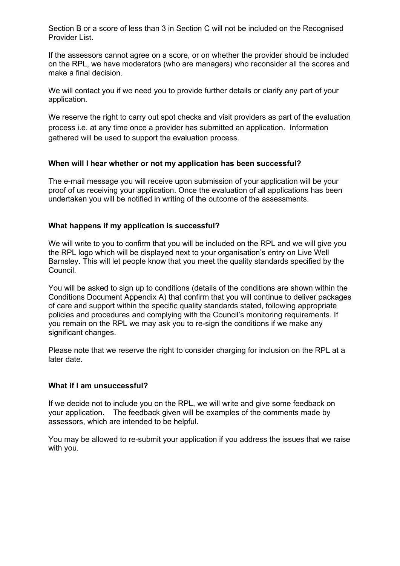Section B or a score of less than 3 in Section C will not be included on the Recognised Provider List.

If the assessors cannot agree on a score, or on whether the provider should be included on the RPL, we have moderators (who are managers) who reconsider all the scores and make a final decision.

We will contact you if we need you to provide further details or clarify any part of your application.

 process i.e. at any time once a provider has submitted an application. Information We reserve the right to carry out spot checks and visit providers as part of the evaluation gathered will be used to support the evaluation process.

## **When will I hear whether or not my application has been successful?**

The e-mail message you will receive upon submission of your application will be your proof of us receiving your application. Once the evaluation of all applications has been undertaken you will be notified in writing of the outcome of the assessments.

## **What happens if my application is successful?**

We will write to you to confirm that you will be included on the RPL and we will give you the RPL logo which will be displayed next to your organisation's entry on Live Well Barnsley. This will let people know that you meet the quality standards specified by the Council.

You will be asked to sign up to conditions (details of the conditions are shown within the Conditions Document Appendix A) that confirm that you will continue to deliver packages of care and support within the specific quality standards stated, following appropriate policies and procedures and complying with the Council's monitoring requirements. If you remain on the RPL we may ask you to re-sign the conditions if we make any significant changes.

Please note that we reserve the right to consider charging for inclusion on the RPL at a later date.

#### **What if I am unsuccessful?**

If we decide not to include you on the RPL, we will write and give some feedback on your application. The feedback given will be examples of the comments made by assessors, which are intended to be helpful.

You may be allowed to re-submit your application if you address the issues that we raise with you.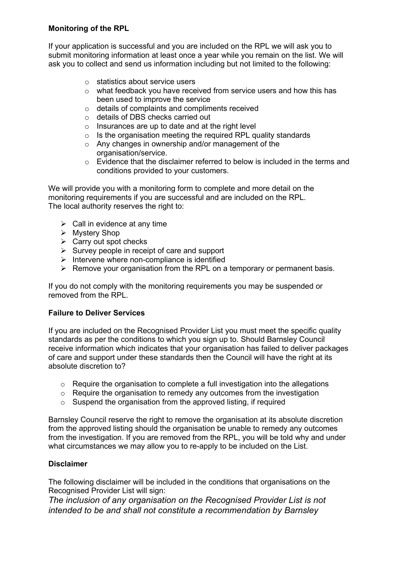# **Monitoring of the RPL**

If your application is successful and you are included on the RPL we will ask you to submit monitoring information at least once a year while you remain on the list. We will ask you to collect and send us information including but not limited to the following:

- o statistics about service users
- $\circ$  what feedback you have received from service users and how this has been used to improve the service
- o details of complaints and compliments received
- o details of DBS checks carried out
- $\circ$  Insurances are up to date and at the right level
- $\circ$  Is the organisation meeting the required RPL quality standards
- o Any changes in ownership and/or management of the organisation/service.
- o Evidence that the disclaimer referred to below is included in the terms and conditions provided to your customers.

We will provide you with a monitoring form to complete and more detail on the monitoring requirements if you are successful and are included on the RPL. The local authority reserves the right to:

- $\triangleright$  Call in evidence at any time
- $\triangleright$  Mystery Shop
- $\triangleright$  Carry out spot checks
- $\triangleright$  Survey people in receipt of care and support
- $\triangleright$  Intervene where non-compliance is identified
- $\triangleright$  Remove your organisation from the RPL on a temporary or permanent basis.

If you do not comply with the monitoring requirements you may be suspended or removed from the RPI

#### **Failure to Deliver Services**

If you are included on the Recognised Provider List you must meet the specific quality standards as per the conditions to which you sign up to. Should Barnsley Council receive information which indicates that your organisation has failed to deliver packages of care and support under these standards then the Council will have the right at its absolute discretion to?

- o Require the organisation to complete a full investigation into the allegations
- o Require the organisation to remedy any outcomes from the investigation
- $\circ$  Suspend the organisation from the approved listing, if required

Barnsley Council reserve the right to remove the organisation at its absolute discretion from the approved listing should the organisation be unable to remedy any outcomes from the investigation. If you are removed from the RPL, you will be told why and under what circumstances we may allow you to re-apply to be included on the List.

#### **Disclaimer**

The following disclaimer will be included in the conditions that organisations on the Recognised Provider List will sign:

*The inclusion of any organisation on the Recognised Provider List is not intended to be and shall not constitute a recommendation by Barnsley*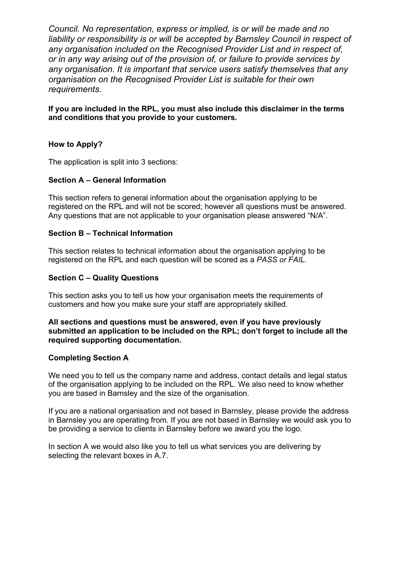*organisation on the Recognised Provider List is suitable for their own Council. No representation, express or implied, is or will be made and no*  liability or responsibility is or will be accepted by Barnsley Council in respect of *any organisation included on the Recognised Provider List and in respect of, or in any way arising out of the provision of, or failure to provide services by any organisation. It is important that service users satisfy themselves that any requirements.* 

**If you are included in the RPL, you must also include this disclaimer in the terms and conditions that you provide to your customers.** 

# **How to Apply?**

The application is split into 3 sections:

# **Section A – General Information**

This section refers to general information about the organisation applying to be registered on the RPL and will not be scored; however all questions must be answered. Any questions that are not applicable to your organisation please answered "N/A".

## **Section B – Technical Information**

This section relates to technical information about the organisation applying to be registered on the RPL and each question will be scored as a *PASS or FAIL.* 

#### **Section C – Quality Questions**

This section asks you to tell us how your organisation meets the requirements of customers and how you make sure your staff are appropriately skilled.

#### **All sections and questions must be answered, even if you have previously submitted an application to be included on the RPL; don't forget to include all the required supporting documentation.**

# **Completing Section A**

We need you to tell us the company name and address, contact details and legal status of the organisation applying to be included on the RPL. We also need to know whether you are based in Barnsley and the size of the organisation.

If you are a national organisation and not based in Barnsley, please provide the address in Barnsley you are operating from. If you are not based in Barnsley we would ask you to be providing a service to clients in Barnsley before we award you the logo.

 selecting the relevant boxes in A.7. In section A we would also like you to tell us what services you are delivering by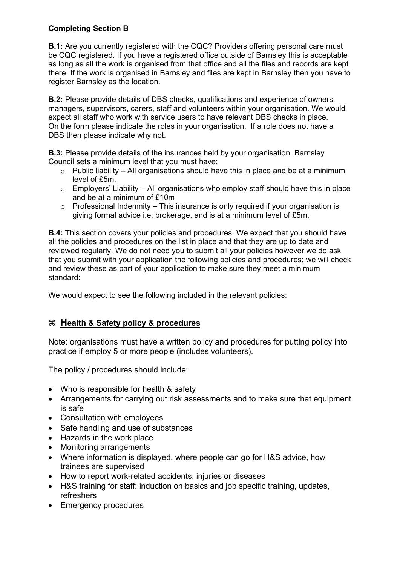# **Completing Section B**

**B.1:** Are you currently registered with the CQC? Providers offering personal care must be CQC registered. If you have a registered office outside of Barnsley this is acceptable as long as all the work is organised from that office and all the files and records are kept there. If the work is organised in Barnsley and files are kept in Barnsley then you have to register Barnsley as the location.

**B.2:** Please provide details of DBS checks, qualifications and experience of owners, managers, supervisors, carers, staff and volunteers within your organisation. We would expect all staff who work with service users to have relevant DBS checks in place. On the form please indicate the roles in your organisation. If a role does not have a DBS then please indicate why not.

**B.3:** Please provide details of the insurances held by your organisation. Barnsley Council sets a minimum level that you must have;

- $\circ$  Public liability All organisations should have this in place and be at a minimum level of £5m.
- $\circ$  Employers' Liability All organisations who employ staff should have this in place and be at a minimum of £10m
- $\circ$  Professional Indemnity This insurance is only required if your organisation is giving formal advice i.e. brokerage, and is at a minimum level of £5m.

**B.4:** This section covers your policies and procedures. We expect that you should have all the policies and procedures on the list in place and that they are up to date and reviewed regularly. We do not need you to submit all your policies however we do ask that you submit with your application the following policies and procedures; we will check and review these as part of your application to make sure they meet a minimum standard:

We would expect to see the following included in the relevant policies:

# **Health & Safety policy & procedures**

Note: organisations must have a written policy and procedures for putting policy into practice if employ 5 or more people (includes volunteers).

The policy / procedures should include:

- Who is responsible for health & safety
- Arrangements for carrying out risk assessments and to make sure that equipment is safe
- Consultation with employees
- Safe handling and use of substances
- Hazards in the work place
- Monitoring arrangements
- Where information is displayed, where people can go for H&S advice, how trainees are supervised
- How to report work-related accidents, injuries or diseases
- H&S training for staff: induction on basics and job specific training, updates, refreshers
- Emergency procedures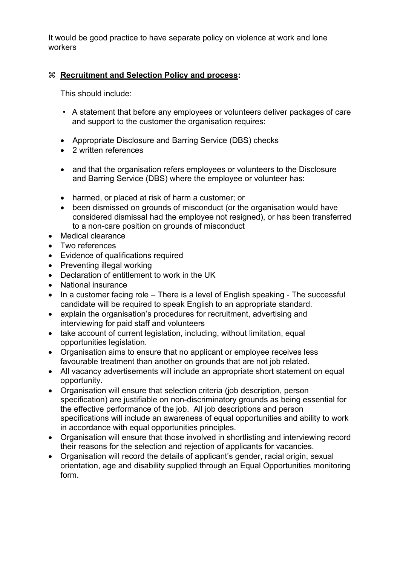It would be good practice to have separate policy on violence at work and lone workers

# **Recruitment and Selection Policy and process:**

This should include:

- A statement that before any employees or volunteers deliver packages of care and support to the customer the organisation requires:
- Appropriate Disclosure and Barring Service (DBS) checks
- 2 written references
- and that the organisation refers employees or volunteers to the Disclosure and Barring Service (DBS) where the employee or volunteer has:
- harmed, or placed at risk of harm a customer; or
- been dismissed on grounds of misconduct (or the organisation would have considered dismissal had the employee not resigned), or has been transferred to a non-care position on grounds of misconduct
- Medical clearance
- Two references
- Evidence of qualifications required
- Preventing illegal working
- Declaration of entitlement to work in the UK
- National insurance
- In a customer facing role There is a level of English speaking The successful candidate will be required to speak English to an appropriate standard.
- explain the organisation's procedures for recruitment, advertising and interviewing for paid staff and volunteers
- take account of current legislation, including, without limitation, equal opportunities legislation.
- Organisation aims to ensure that no applicant or employee receives less favourable treatment than another on grounds that are not job related.
- All vacancy advertisements will include an appropriate short statement on equal opportunity.
- Organisation will ensure that selection criteria (job description, person specification) are justifiable on non-discriminatory grounds as being essential for the effective performance of the job. All job descriptions and person specifications will include an awareness of equal opportunities and ability to work in accordance with equal opportunities principles.
- Organisation will ensure that those involved in shortlisting and interviewing record their reasons for the selection and rejection of applicants for vacancies.
- Organisation will record the details of applicant's gender, racial origin, sexual orientation, age and disability supplied through an Equal Opportunities monitoring form.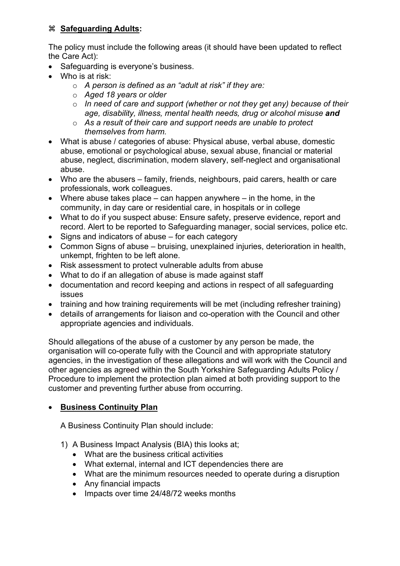# **Safeguarding Adults:**

The policy must include the following areas (it should have been updated to reflect the Care Act):

- Safeguarding is everyone's business.
- Who is at risk:
	- o *A person is defined as an "adult at risk" if they are:*
	- o *Aged 18 years or older*
	- o *In need of care and support (whether or not they get any) because of their age, disability, illness, mental health needs, drug or alcohol misuse and*
	- o *As a result of their care and support needs are unable to protect themselves from harm.*
- What is abuse / categories of abuse: Physical abuse, verbal abuse, domestic abuse, emotional or psychological abuse, sexual abuse, financial or material abuse, neglect, discrimination, modern slavery, self-neglect and organisational abuse.
- Who are the abusers family, friends, neighbours, paid carers, health or care professionals, work colleagues.
- Where abuse takes place  $-$  can happen anywhere  $-$  in the home, in the community, in day care or residential care, in hospitals or in college
- What to do if you suspect abuse: Ensure safety, preserve evidence, report and record. Alert to be reported to Safeguarding manager, social services, police etc.
- Signs and indicators of abuse for each category
- Common Signs of abuse bruising, unexplained injuries, deterioration in health, unkempt, frighten to be left alone.
- Risk assessment to protect vulnerable adults from abuse
- What to do if an allegation of abuse is made against staff
- documentation and record keeping and actions in respect of all safeguarding issues
- training and how training requirements will be met (including refresher training)
- details of arrangements for liaison and co-operation with the Council and other appropriate agencies and individuals.

Should allegations of the abuse of a customer by any person be made, the organisation will co-operate fully with the Council and with appropriate statutory agencies, in the investigation of these allegations and will work with the Council and other agencies as agreed within the South Yorkshire Safeguarding Adults Policy / Procedure to implement the protection plan aimed at both providing support to the customer and preventing further abuse from occurring.

# • **Business Continuity Plan**

A Business Continuity Plan should include:

- 1) A Business Impact Analysis (BIA) this looks at;
	- What are the business critical activities
	- What external, internal and ICT dependencies there are
	- What are the minimum resources needed to operate during a disruption
	- Any financial impacts
	- Impacts over time 24/48/72 weeks months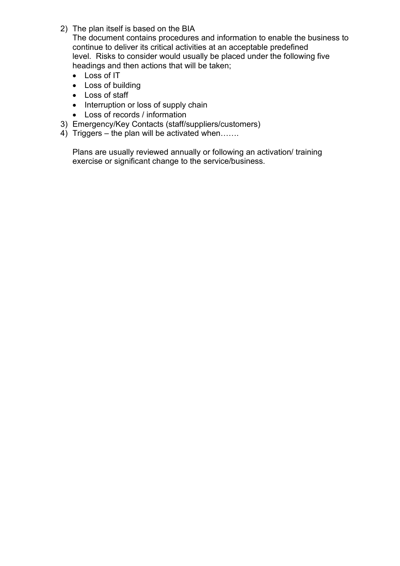2) The plan itself is based on the BIA

The document contains procedures and information to enable the business to continue to deliver its critical activities at an acceptable predefined level. Risks to consider would usually be placed under the following five headings and then actions that will be taken;

- Loss of IT
- Loss of building
- Loss of staff
- Interruption or loss of supply chain
- Loss of records / information
- 3) Emergency/Key Contacts (staff/suppliers/customers)
- 4) Triggers the plan will be activated when…….

Plans are usually reviewed annually or following an activation/ training exercise or significant change to the service/business.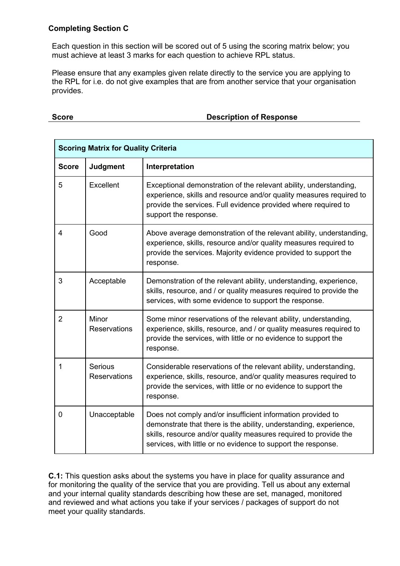## **Completing Section C**

Each question in this section will be scored out of 5 using the scoring matrix below; you must achieve at least 3 marks for each question to achieve RPL status.

Please ensure that any examples given relate directly to the service you are applying to the RPL for i.e. do not give examples that are from another service that your organisation provides.

## **Score Score Description of Response**

| <b>Scoring Matrix for Quality Criteria</b> |                                       |                                                                                                                                                                                                                                                                       |
|--------------------------------------------|---------------------------------------|-----------------------------------------------------------------------------------------------------------------------------------------------------------------------------------------------------------------------------------------------------------------------|
| <b>Score</b>                               | <b>Judgment</b>                       | Interpretation                                                                                                                                                                                                                                                        |
| 5                                          | Excellent                             | Exceptional demonstration of the relevant ability, understanding,<br>experience, skills and resource and/or quality measures required to<br>provide the services. Full evidence provided where required to<br>support the response.                                   |
| 4                                          | Good                                  | Above average demonstration of the relevant ability, understanding,<br>experience, skills, resource and/or quality measures required to<br>provide the services. Majority evidence provided to support the<br>response.                                               |
| 3                                          | Acceptable                            | Demonstration of the relevant ability, understanding, experience,<br>skills, resource, and / or quality measures required to provide the<br>services, with some evidence to support the response.                                                                     |
| $\overline{2}$                             | Minor<br><b>Reservations</b>          | Some minor reservations of the relevant ability, understanding,<br>experience, skills, resource, and / or quality measures required to<br>provide the services, with little or no evidence to support the<br>response.                                                |
| $\mathbf{1}$                               | <b>Serious</b><br><b>Reservations</b> | Considerable reservations of the relevant ability, understanding,<br>experience, skills, resource, and/or quality measures required to<br>provide the services, with little or no evidence to support the<br>response.                                                |
| $\Omega$                                   | Unacceptable                          | Does not comply and/or insufficient information provided to<br>demonstrate that there is the ability, understanding, experience,<br>skills, resource and/or quality measures required to provide the<br>services, with little or no evidence to support the response. |

**C.1:** This question asks about the systems you have in place for quality assurance and for monitoring the quality of the service that you are providing. Tell us about any external and your internal quality standards describing how these are set, managed, monitored and reviewed and what actions you take if your services / packages of support do not meet your quality standards.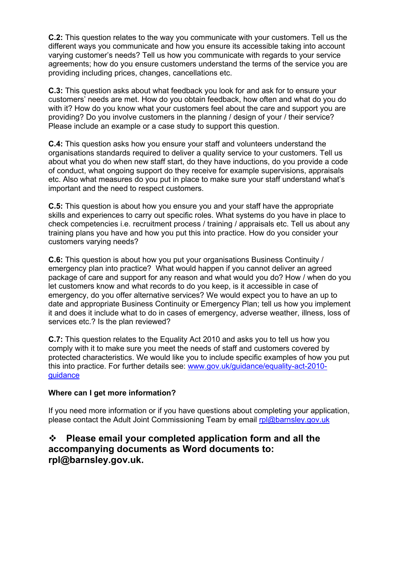**C.2:** This question relates to the way you communicate with your customers. Tell us the different ways you communicate and how you ensure its accessible taking into account varying customer's needs? Tell us how you communicate with regards to your service agreements; how do you ensure customers understand the terms of the service you are providing including prices, changes, cancellations etc.

**C.3:** This question asks about what feedback you look for and ask for to ensure your customers' needs are met. How do you obtain feedback, how often and what do you do with it? How do you know what your customers feel about the care and support you are providing? Do you involve customers in the planning / design of your / their service? Please include an example or a case study to support this question.

**C.4:** This question asks how you ensure your staff and volunteers understand the organisations standards required to deliver a quality service to your customers. Tell us about what you do when new staff start, do they have inductions, do you provide a code of conduct, what ongoing support do they receive for example supervisions, appraisals etc. Also what measures do you put in place to make sure your staff understand what's important and the need to respect customers.

**C.5:** This question is about how you ensure you and your staff have the appropriate skills and experiences to carry out specific roles. What systems do you have in place to check competencies i.e. recruitment process / training / appraisals etc. Tell us about any training plans you have and how you put this into practice. How do you consider your customers varying needs?

**C.6:** This question is about how you put your organisations Business Continuity / emergency plan into practice? What would happen if you cannot deliver an agreed package of care and support for any reason and what would you do? How / when do you let customers know and what records to do you keep, is it accessible in case of emergency, do you offer alternative services? We would expect you to have an up to date and appropriate Business Continuity or Emergency Plan; tell us how you implement it and does it include what to do in cases of emergency, adverse weather, illness, loss of services etc.? Is the plan reviewed?

 comply with it to make sure you meet the needs of staff and customers covered by [guidance](http://www.gov.uk/guidance/equality-act-2010-guidance) **C.7:** This question relates to the Equality Act 2010 and asks you to tell us how you protected characteristics. We would like you to include specific examples of how you put this into practice. For further details see: [www.gov.uk/guidance/equality-act-2010-](http://www.gov.uk/guidance/equality-act-2010-guidance)

# **Where can I get more information?**

please contact the Adult Joint Commissioning Team by email rol@barnsley.gov.uk If you need more information or if you have questions about completing your application,

# **Please email your completed application form and all the accompanying documents as Word documents to: rpl@barnsley.gov.uk.**